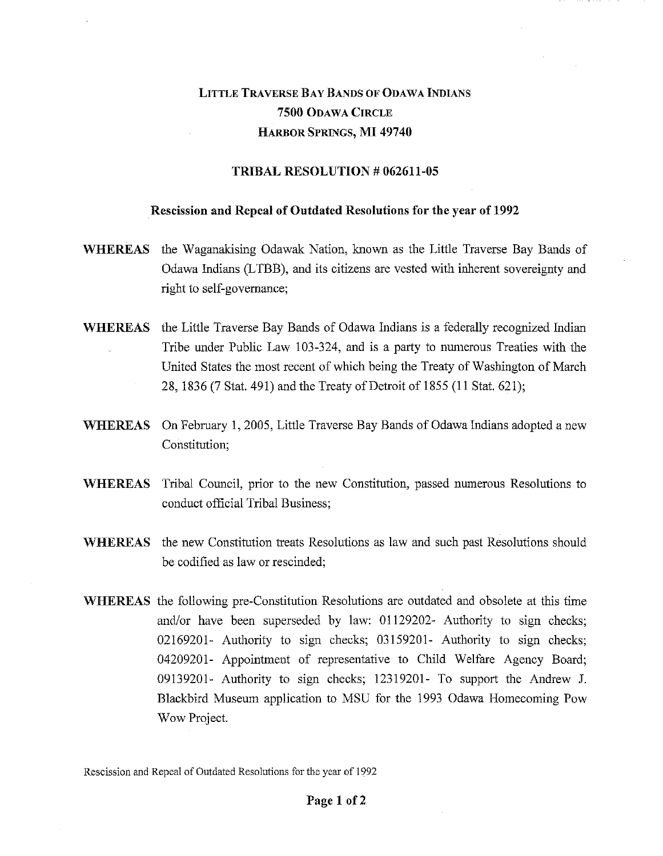## LITTLE TRAVERSE BAY BANDS OF ODAWA INDIANS 7500 ODAWA CIRCLE HARBOR SPRINGS, MI 49740

## TRIBAL RESOLUTION # 062611-05

## Rescission and Repeal of Outdated Resolutions for the year of 1992

- WHEREAS the Waganakising Odawak Nation, known as the Little Traverse Bay Bands of Odawa Indians (LTBB), and its citizens are vested with inherent sovereignty and right to self-governance;
- WHEREAS the Little Traverse Bay Bands of Odawa Indians is a federally recognized Indian Tribe under Public Law 103-324, and is a party to numerous Treaties with the United States the most recent of which being the Treaty of Washington of March 28, 1836 (7 Stat. 491) and the Treaty of Detroit of 1855 (11 Stat. 621);
- WHEREAS On February 1, 2005, Little Traverse Bay Bands of Odawa Indians adopted a new Constitution;
- WHEREAS Tribal Council, prior to the new Constitution, passed numerous Resolutions to conduct official Tribal Business;
- WHEREAS the new Constitution treats Resolutions as law and such past Resolutions should be codified as law or rescinded;
- WHEREAS the following pre-Constitution Resolutions are outdated and obsolete at this time and/or have been superseded by law: 01129202- Authority to sign checks; 02169201- Authority to sign checks; 03159201- Authority to sign checks; 04209201- Appointment of representative to Child Welfare Agency Board; 09139201- Authority to sign checks; 12319201- To support the Andrew J. Blackbird Museum application to MSU for the 1993 Odawa Homecoming Pow Wow Project.

Rescission and Repeal of Outdated Resolutions for the year of 1992